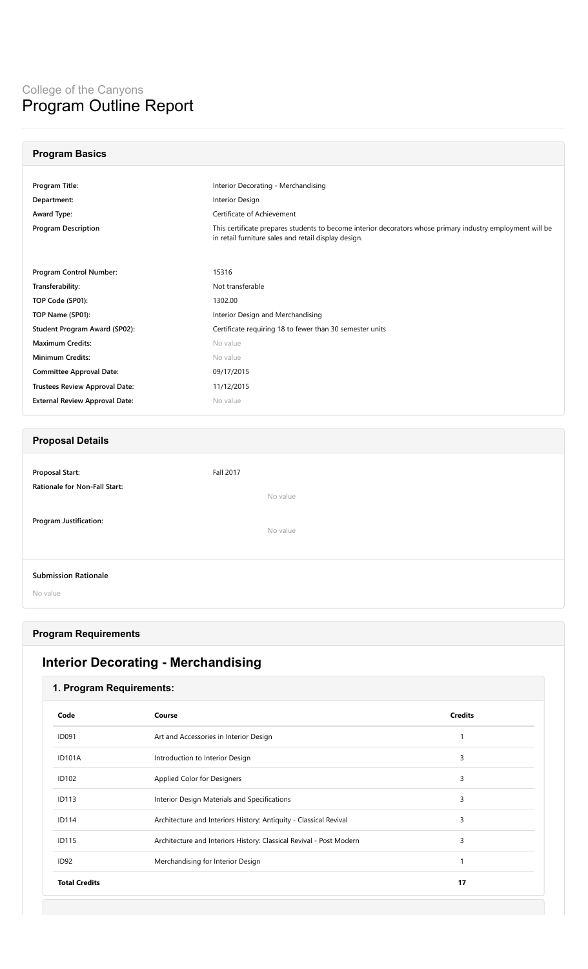| <b>Program Basics</b>                                                                     |                                                                                                            |  |
|-------------------------------------------------------------------------------------------|------------------------------------------------------------------------------------------------------------|--|
|                                                                                           |                                                                                                            |  |
| Program Title:<br>Interior Decorating - Merchandising                                     |                                                                                                            |  |
| Department:                                                                               | Interior Design                                                                                            |  |
| Award Type:                                                                               | Certificate of Achievement                                                                                 |  |
| <b>Program Description</b><br>in retail furniture sales and retail display design.        | This certificate prepares students to become interior decorators whose primary industry employment will be |  |
|                                                                                           |                                                                                                            |  |
| Program Control Number:<br>15316                                                          |                                                                                                            |  |
| Not transferable<br>Transferability:                                                      |                                                                                                            |  |
| TOP Code (SP01):<br>1302.00                                                               |                                                                                                            |  |
| TOP Name (SP01):<br>Interior Design and Merchandising                                     |                                                                                                            |  |
| Certificate requiring 18 to fewer than 30 semester units<br>Student Program Award (SP02): |                                                                                                            |  |
| <b>Maximum Credits:</b><br>No value                                                       |                                                                                                            |  |
| <b>Minimum Credits:</b><br>No value                                                       |                                                                                                            |  |
| <b>Committee Approval Date:</b><br>09/17/2015                                             |                                                                                                            |  |
| <b>Trustees Review Approval Date:</b><br>11/12/2015                                       |                                                                                                            |  |
| <b>External Review Approval Date:</b><br>No value                                         |                                                                                                            |  |
|                                                                                           |                                                                                                            |  |
| <b>Proposal Details</b>                                                                   |                                                                                                            |  |
|                                                                                           |                                                                                                            |  |
| <b>Proposal Start:</b><br><b>Fall 2017</b>                                                |                                                                                                            |  |
| Rationale for Non-Fall Start:<br>No value                                                 |                                                                                                            |  |
|                                                                                           |                                                                                                            |  |
| Program Justification:                                                                    |                                                                                                            |  |
| No value                                                                                  |                                                                                                            |  |
|                                                                                           |                                                                                                            |  |
| <b>Submission Rationale</b>                                                               |                                                                                                            |  |
| No value                                                                                  |                                                                                                            |  |

## **Program Requirements**

# **Interior Decorating - Merchandising**

## **1. Program Requirements:**

| Code                 | Course                                                              | <b>Credits</b> |
|----------------------|---------------------------------------------------------------------|----------------|
| <b>ID091</b>         | Art and Accessories in Interior Design                              |                |
| <b>ID101A</b>        | Introduction to Interior Design                                     | 3              |
| <b>ID102</b>         | Applied Color for Designers                                         | 3              |
| <b>ID113</b>         | Interior Design Materials and Specifications                        | 3              |
| <b>ID114</b>         | Architecture and Interiors History: Antiquity - Classical Revival   | 3              |
| <b>ID115</b>         | Architecture and Interiors History: Classical Revival - Post Modern | 3              |
| ID <sub>92</sub>     | Merchandising for Interior Design                                   | 1              |
| <b>Total Credits</b> |                                                                     | 17             |